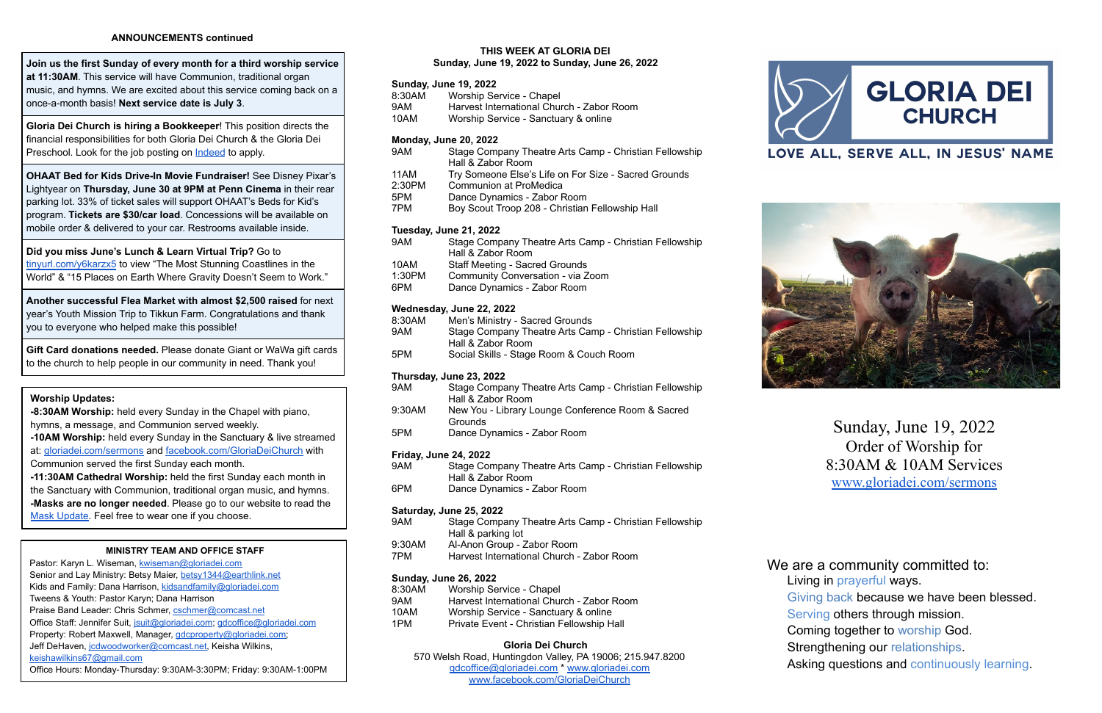### **ANNOUNCEMENTS continued**

**Gloria Dei Church is hiring a Bookkeeper**! This position directs the financial responsibilities for both Gloria Dei Church & the Gloria Dei Preschool. Look for the job posting on [Indeed](https://www.indeed.com/jobs?q=Bookkeeper&l=Huntingdon%20Valley%2C%20PA%2019006&radius=5&vjk=1fd8be78c81a4dca) to apply.

**Join us the first Sunday of every month for a third worship service at 11:30AM**. This service will have Communion, traditional organ music, and hymns. We are excited about this service coming back on a once-a-month basis! **Next service date is July 3**.

**OHAAT Bed for Kids Drive-In Movie Fundraiser!** See Disney Pixar's Lightyear on **Thursday, June 30 at 9PM at Penn Cinema** in their rear parking lot. 33% of ticket sales will support OHAAT's Beds for Kid's program. **Tickets are \$30/car load**. Concessions will be available on mobile order & delivered to your car. Restrooms available inside.

**Did you miss June's Lunch & Learn Virtual Trip?** Go to [tinyurl.com/y6karzx5](https://tinyurl.com/y6karzx5) to view "The Most Stunning Coastlines in the World" & "15 Places on Earth Where Gravity Doesn't Seem to Work."

**Another successful Flea Market with almost \$2,500 raised** for next year's Youth Mission Trip to Tikkun Farm. Congratulations and thank you to everyone who helped make this possible!

- Senior and Lay Ministry: Betsy Maier, [betsy1344@earthlink.net](mailto:betsy1344@earthlink.net)
- Kids and Family: Dana Harrison, [kidsandfamily@gloriadei.com](mailto:kidsandfamily@gloriadei.com)
- Tweens & Youth: Pastor Karyn; Dana Harrison
- Praise Band Leader: Chris Schmer, [cschmer@comcast.net](mailto:cschmer@comcast.net)
- Office Staff: Jennifer Suit, [jsuit@gloriadei.com](mailto:jsuit@gloriadei.com); [gdcoffice@gloriadei.com](mailto:gdcoffice@gloriadei.com)
- Property: Robert Maxwell, Manager, *gdcproperty@gloriadei.com*; Jeff DeHaven, [jcdwoodworker@comcast.net,](mailto:jcdwoodworker@comcast.net) Keisha Wilkins,
- [keishawilkins67@gmail.com](mailto:keishawilkins67@gmail.com)
- Office Hours: Monday-Thursday: 9:30AM-3:30PM; Friday: 9:30AM-1:00PM

**Gift Card donations needed.** Please donate Giant or WaWa gift cards to the church to help people in our community in need. Thank you!

### **Worship Updates:**

**-8:30AM Worship:** held every Sunday in the Chapel with piano, hymns, a message, and Communion served weekly.

- 9AM Stage Company Theatre Arts Camp Christian Fellowship Hall & Zabor Room 11AM Try Someone Else's Life on For Size - Sacred Grounds
- 2:30PM Communion at ProMedica
- 5PM Dance Dynamics Zabor Room
- 7PM Boy Scout Troop 208 Christian Fellowship Hall

**-10AM Worship:** held every Sunday in the Sanctuary & live streamed at: [gloriadei.com/sermons](http://www.gloriadei.com/sermons) and [facebook.com/GloriaDeiChurch](https://www.facebook.com/GloriaDeiChurch) with Communion served the first Sunday each month.

- 9AM Stage Company Theatre Arts Camp Christian Fellowship Hall & Zabor Room
- 10AM Staff Meeting Sacred Grounds
- 1:30PM Community Conversation via Zoom
- 6PM Dance Dynamics Zabor Room

**-11:30AM Cathedral Worship:** held the first Sunday each month in the Sanctuary with Communion, traditional organ music, and hymns. **-Masks are no longer needed**. Please go to our website to read the Mask [Update.](https://gloriadei.com/wp-content/uploads/2022/03/Masks-Recommended-Update3-14-22.pdf) Feel free to wear one if you choose.

- 9AM Stage Company Theatre Arts Camp Christian Fellowship Hall & Zabor Room
- 6PM Dance Dynamics Zabor Room

### **MINISTRY TEAM AND OFFICE STAFF**

Pastor: Karyn L. Wiseman, [kwiseman@gloriadei.com](mailto:kwiseman@gloriadei.com)

- 9AM Stage Company Theatre Arts Camp Christian Fellowship Hall & parking lot 9:30AM Al-Anon Group - Zabor Room
- 7PM Harvest International Church Zabor Room

| 8:30AM | Worship Service - Chapel                  |
|--------|-------------------------------------------|
| 9AM    | Harvest International Church - Zabor Room |
| 10AM   | Worship Service - Sanctuary & online      |
| 1PM    | Private Event - Christian Fellowship Hall |

### **THIS WEEK AT GLORIA DEI Sunday, June 19, 2022 to Sunday, June 26, 2022**

# **Sunday, June 19, 2022**

- 8:30AM Worship Service Chapel 9AM Harvest International Church - Zabor Room
- 10AM Worship Service Sanctuary & online

### **Monday, June 20, 2022**

### **Tuesday, June 21, 2022**

### **Wednesday, June 22, 2022**

- 8:30AM Men's Ministry Sacred Grounds 9AM Stage Company Theatre Arts Camp - Christian Fellowship Hall & Zabor Room
- 5PM Social Skills Stage Room & Couch Room

### **Thursday, June 23, 2022**

| 9AM    | Stage Company Theatre Arts Camp - Christian Fellowship |
|--------|--------------------------------------------------------|
|        | Hall & Zabor Room                                      |
| 9:30AM | New You - Library Lounge Conference Room & Sacred      |
|        | Grounds                                                |
| 5PM    | Dance Dynamics - Zabor Room                            |

### **Friday, June 24, 2022**

### **Saturday, June 25, 2022**

### **Sunday, June 26, 2022**

### **Gloria Dei Church**

570 Welsh Road, Huntingdon Valley, PA 19006; 215.947.8200 [gdcoffice@gloriadei.com](mailto:gdcoffice@gloriadei.com) \* [www.gloriadei.com](http://www.gloriadei.com) [www.facebook.com/GloriaDeiChurch](http://www.facebook.com/GloriaDeiChurch)





Sunday, June 19, 2022 Order of Worship for 8:30AM & 10AM Services [www.gloriadei.com/sermons](http://www.gloriadei.com/sermons)

Living in prayerful ways. Giving back because we have been blessed. Serving others through mission. Coming together to worship God. Strengthening our relationships.

We are a community committed to:

Asking questions and continuously learning.